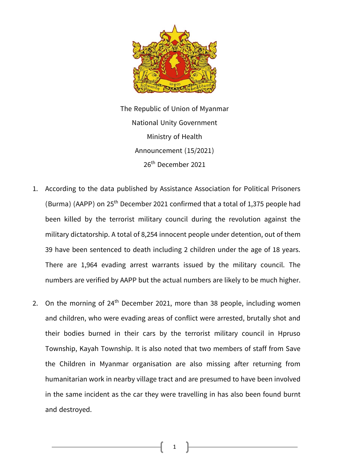

The Republic of Union of Myanmar National Unity Government Ministry of Health Announcement (15/2021) 26th December 2021

- 1. According to the data published by Assistance Association for Political Prisoners (Burma) (AAPP) on 25<sup>th</sup> December 2021 confirmed that a total of 1,375 people had been killed by the terrorist military council during the revolution against the military dictatorship. A total of 8,254 innocent people under detention, out of them 39 have been sentenced to death including 2 children under the age of 18 years. There are 1,964 evading arrest warrants issued by the military council. The numbers are verified by AAPP but the actual numbers are likely to be much higher.
- 2. On the morning of  $24<sup>th</sup>$  December 2021, more than 38 people, including women and children, who were evading areas of conflict were arrested, brutally shot and their bodies burned in their cars by the terrorist military council in Hpruso Township, Kayah Township. It is also noted that two members of staff from Save the Children in Myanmar organisation are also missing after returning from humanitarian work in nearby village tract and are presumed to have been involved in the same incident as the car they were travelling in has also been found burnt and destroyed.